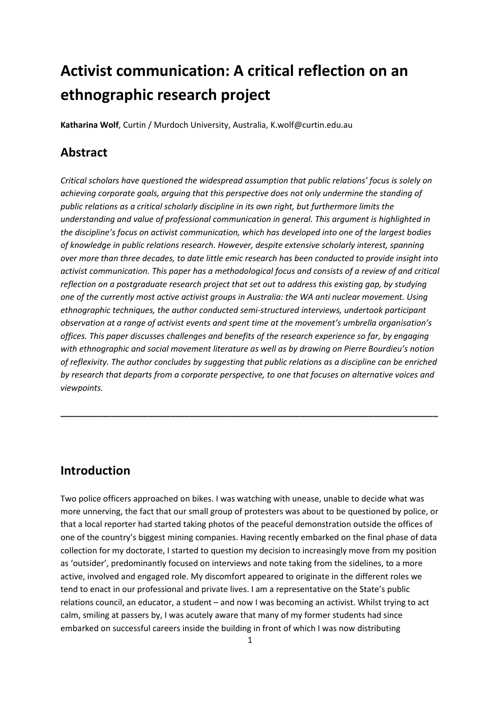# **Activist communication: A critical reflection on an ethnographic research project**

**Katharina Wolf**, Curtin / Murdoch University, Australia, K.wolf@curtin.edu.au

# **Abstract**

*Critical scholars have questioned the widespread assumption that public relations' focus is solely on achieving corporate goals, arguing that this perspective does not only undermine the standing of public relations as a critical scholarly discipline in its own right, but furthermore limits the understanding and value of professional communication in general. This argument is highlighted in the discipline's focus on activist communication, which has developed into one of the largest bodies of knowledge in public relations research. However, despite extensive scholarly interest, spanning over more than three decades, to date little emic research has been conducted to provide insight into activist communication. This paper has a methodological focus and consists of a review of and critical reflection on a postgraduate research project that set out to address this existing gap, by studying one of the currently most active activist groups in Australia: the WA anti nuclear movement. Using ethnographic techniques, the author conducted semi-structured interviews, undertook participant observation at a range of activist events and spent time at the movement's umbrella organisation's offices. This paper discusses challenges and benefits of the research experience so far, by engaging with ethnographic and social movement literature as well as by drawing on Pierre Bourdieu's notion of reflexivity. The author concludes by suggesting that public relations as a discipline can be enriched by research that departs from a corporate perspective, to one that focuses on alternative voices and viewpoints.* 

**\_\_\_\_\_\_\_\_\_\_\_\_\_\_\_\_\_\_\_\_\_\_\_\_\_\_\_\_\_\_\_\_\_\_\_\_\_\_\_\_\_\_\_\_\_\_\_\_\_\_\_\_\_\_\_\_\_\_\_\_\_\_\_\_\_\_\_\_\_\_\_\_\_\_\_\_\_\_\_\_\_\_** 

# **Introduction**

Two police officers approached on bikes. I was watching with unease, unable to decide what was more unnerving, the fact that our small group of protesters was about to be questioned by police, or that a local reporter had started taking photos of the peaceful demonstration outside the offices of one of the country's biggest mining companies. Having recently embarked on the final phase of data collection for my doctorate, I started to question my decision to increasingly move from my position as 'outsider', predominantly focused on interviews and note taking from the sidelines, to a more active, involved and engaged role. My discomfort appeared to originate in the different roles we tend to enact in our professional and private lives. I am a representative on the State's public relations council, an educator, a student – and now I was becoming an activist. Whilst trying to act calm, smiling at passers by, I was acutely aware that many of my former students had since embarked on successful careers inside the building in front of which I was now distributing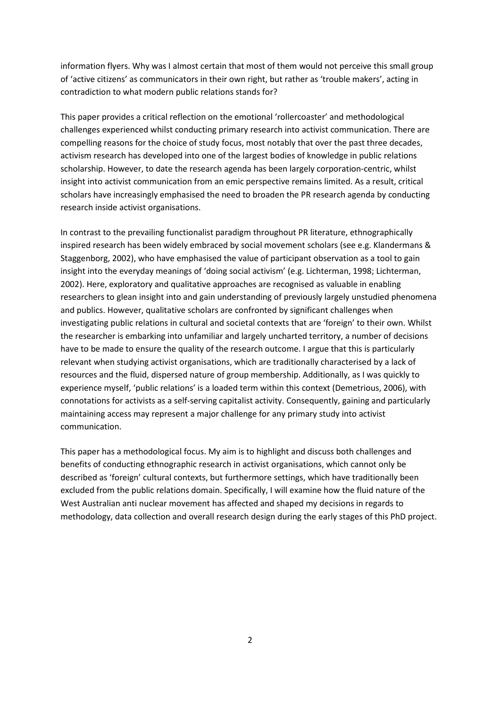information flyers. Why was I almost certain that most of them would not perceive this small group of 'active citizens' as communicators in their own right, but rather as 'trouble makers', acting in contradiction to what modern public relations stands for?

This paper provides a critical reflection on the emotional 'rollercoaster' and methodological challenges experienced whilst conducting primary research into activist communication. There are compelling reasons for the choice of study focus, most notably that over the past three decades, activism research has developed into one of the largest bodies of knowledge in public relations scholarship. However, to date the research agenda has been largely corporation-centric, whilst insight into activist communication from an emic perspective remains limited. As a result, critical scholars have increasingly emphasised the need to broaden the PR research agenda by conducting research inside activist organisations.

In contrast to the prevailing functionalist paradigm throughout PR literature, ethnographically inspired research has been widely embraced by social movement scholars (see e.g. Klandermans & Staggenborg, 2002), who have emphasised the value of participant observation as a tool to gain insight into the everyday meanings of 'doing social activism' (e.g. Lichterman, 1998; Lichterman, 2002). Here, exploratory and qualitative approaches are recognised as valuable in enabling researchers to glean insight into and gain understanding of previously largely unstudied phenomena and publics. However, qualitative scholars are confronted by significant challenges when investigating public relations in cultural and societal contexts that are 'foreign' to their own. Whilst the researcher is embarking into unfamiliar and largely uncharted territory, a number of decisions have to be made to ensure the quality of the research outcome. I argue that this is particularly relevant when studying activist organisations, which are traditionally characterised by a lack of resources and the fluid, dispersed nature of group membership. Additionally, as I was quickly to experience myself, 'public relations' is a loaded term within this context (Demetrious, 2006), with connotations for activists as a self-serving capitalist activity. Consequently, gaining and particularly maintaining access may represent a major challenge for any primary study into activist communication.

This paper has a methodological focus. My aim is to highlight and discuss both challenges and benefits of conducting ethnographic research in activist organisations, which cannot only be described as 'foreign' cultural contexts, but furthermore settings, which have traditionally been excluded from the public relations domain. Specifically, I will examine how the fluid nature of the West Australian anti nuclear movement has affected and shaped my decisions in regards to methodology, data collection and overall research design during the early stages of this PhD project.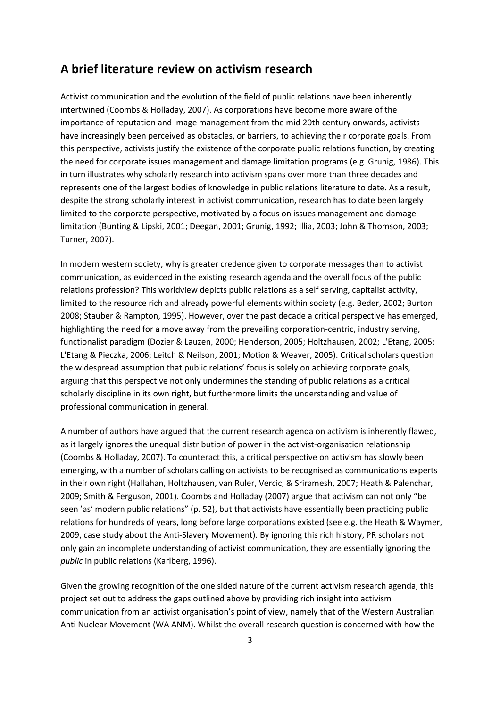#### **A brief literature review on activism research**

Activist communication and the evolution of the field of public relations have been inherently intertwined (Coombs & Holladay, 2007). As corporations have become more aware of the importance of reputation and image management from the mid 20th century onwards, activists have increasingly been perceived as obstacles, or barriers, to achieving their corporate goals. From this perspective, activists justify the existence of the corporate public relations function, by creating the need for corporate issues management and damage limitation programs (e.g. Grunig, 1986). This in turn illustrates why scholarly research into activism spans over more than three decades and represents one of the largest bodies of knowledge in public relations literature to date. As a result, despite the strong scholarly interest in activist communication, research has to date been largely limited to the corporate perspective, motivated by a focus on issues management and damage limitation (Bunting & Lipski, 2001; Deegan, 2001; Grunig, 1992; Illia, 2003; John & Thomson, 2003; Turner, 2007).

In modern western society, why is greater credence given to corporate messages than to activist communication, as evidenced in the existing research agenda and the overall focus of the public relations profession? This worldview depicts public relations as a self serving, capitalist activity, limited to the resource rich and already powerful elements within society (e.g. Beder, 2002; Burton 2008; Stauber & Rampton, 1995). However, over the past decade a critical perspective has emerged, highlighting the need for a move away from the prevailing corporation-centric, industry serving, functionalist paradigm (Dozier & Lauzen, 2000; Henderson, 2005; Holtzhausen, 2002; L'Etang, 2005; L'Etang & Pieczka, 2006; Leitch & Neilson, 2001; Motion & Weaver, 2005). Critical scholars question the widespread assumption that public relations' focus is solely on achieving corporate goals, arguing that this perspective not only undermines the standing of public relations as a critical scholarly discipline in its own right, but furthermore limits the understanding and value of professional communication in general.

A number of authors have argued that the current research agenda on activism is inherently flawed, as it largely ignores the unequal distribution of power in the activist-organisation relationship (Coombs & Holladay, 2007). To counteract this, a critical perspective on activism has slowly been emerging, with a number of scholars calling on activists to be recognised as communications experts in their own right (Hallahan, Holtzhausen, van Ruler, Vercic, & Sriramesh, 2007; Heath & Palenchar, 2009; Smith & Ferguson, 2001). Coombs and Holladay (2007) argue that activism can not only "be seen 'as' modern public relations" (p. 52), but that activists have essentially been practicing public relations for hundreds of years, long before large corporations existed (see e.g. the Heath & Waymer, 2009, case study about the Anti-Slavery Movement). By ignoring this rich history, PR scholars not only gain an incomplete understanding of activist communication, they are essentially ignoring the *public* in public relations (Karlberg, 1996).

Given the growing recognition of the one sided nature of the current activism research agenda, this project set out to address the gaps outlined above by providing rich insight into activism communication from an activist organisation's point of view, namely that of the Western Australian Anti Nuclear Movement (WA ANM). Whilst the overall research question is concerned with how the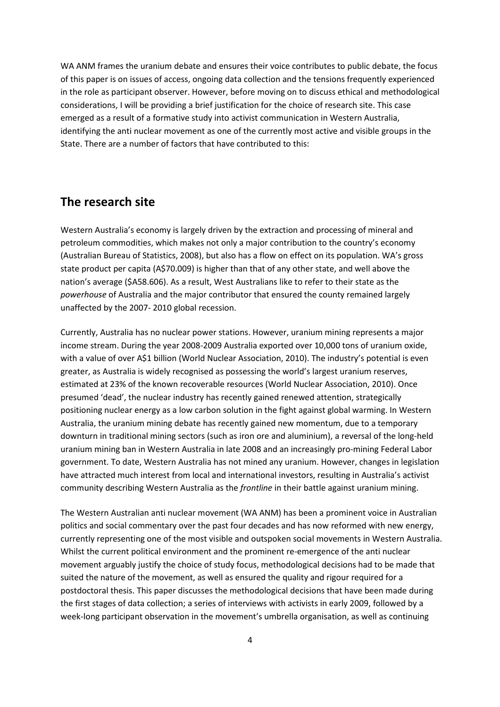WA ANM frames the uranium debate and ensures their voice contributes to public debate, the focus of this paper is on issues of access, ongoing data collection and the tensions frequently experienced in the role as participant observer. However, before moving on to discuss ethical and methodological considerations, I will be providing a brief justification for the choice of research site. This case emerged as a result of a formative study into activist communication in Western Australia, identifying the anti nuclear movement as one of the currently most active and visible groups in the State. There are a number of factors that have contributed to this:

### **The research site**

Western Australia's economy is largely driven by the extraction and processing of mineral and petroleum commodities, which makes not only a major contribution to the country's economy (Australian Bureau of Statistics, 2008), but also has a flow on effect on its population. WA's gross state product per capita (A\$70.009) is higher than that of any other state, and well above the nation's average (\$A58.606). As a result, West Australians like to refer to their state as the *powerhouse* of Australia and the major contributor that ensured the county remained largely unaffected by the 2007- 2010 global recession.

Currently, Australia has no nuclear power stations. However, uranium mining represents a major income stream. During the year 2008-2009 Australia exported over 10,000 tons of uranium oxide, with a value of over A\$1 billion (World Nuclear Association, 2010). The industry's potential is even greater, as Australia is widely recognised as possessing the world's largest uranium reserves, estimated at 23% of the known recoverable resources (World Nuclear Association, 2010). Once presumed 'dead', the nuclear industry has recently gained renewed attention, strategically positioning nuclear energy as a low carbon solution in the fight against global warming. In Western Australia, the uranium mining debate has recently gained new momentum, due to a temporary downturn in traditional mining sectors (such as iron ore and aluminium), a reversal of the long-held uranium mining ban in Western Australia in late 2008 and an increasingly pro-mining Federal Labor government. To date, Western Australia has not mined any uranium. However, changes in legislation have attracted much interest from local and international investors, resulting in Australia's activist community describing Western Australia as the *frontline* in their battle against uranium mining.

The Western Australian anti nuclear movement (WA ANM) has been a prominent voice in Australian politics and social commentary over the past four decades and has now reformed with new energy, currently representing one of the most visible and outspoken social movements in Western Australia. Whilst the current political environment and the prominent re-emergence of the anti nuclear movement arguably justify the choice of study focus, methodological decisions had to be made that suited the nature of the movement, as well as ensured the quality and rigour required for a postdoctoral thesis. This paper discusses the methodological decisions that have been made during the first stages of data collection; a series of interviews with activists in early 2009, followed by a week-long participant observation in the movement's umbrella organisation, as well as continuing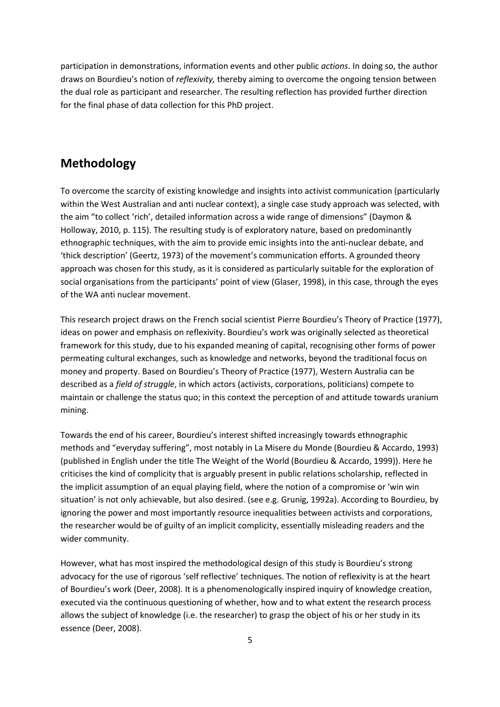participation in demonstrations, information events and other public *actions*. In doing so, the author draws on Bourdieu's notion of *reflexivity,* thereby aiming to overcome the ongoing tension between the dual role as participant and researcher. The resulting reflection has provided further direction for the final phase of data collection for this PhD project.

# **Methodology**

To overcome the scarcity of existing knowledge and insights into activist communication (particularly within the West Australian and anti nuclear context), a single case study approach was selected, with the aim "to collect 'rich', detailed information across a wide range of dimensions" (Daymon & Holloway, 2010, p. 115). The resulting study is of exploratory nature, based on predominantly ethnographic techniques, with the aim to provide emic insights into the anti-nuclear debate, and 'thick description' (Geertz, 1973) of the movement's communication efforts. A grounded theory approach was chosen for this study, as it is considered as particularly suitable for the exploration of social organisations from the participants' point of view (Glaser, 1998), in this case, through the eyes of the WA anti nuclear movement.

This research project draws on the French social scientist Pierre Bourdieu's Theory of Practice (1977), ideas on power and emphasis on reflexivity. Bourdieu's work was originally selected as theoretical framework for this study, due to his expanded meaning of capital, recognising other forms of power permeating cultural exchanges, such as knowledge and networks, beyond the traditional focus on money and property. Based on Bourdieu's Theory of Practice (1977), Western Australia can be described as a *field of struggle*, in which actors (activists, corporations, politicians) compete to maintain or challenge the status quo; in this context the perception of and attitude towards uranium mining.

Towards the end of his career, Bourdieu's interest shifted increasingly towards ethnographic methods and "everyday suffering", most notably in La Misere du Monde (Bourdieu & Accardo, 1993) (published in English under the title The Weight of the World (Bourdieu & Accardo, 1999)). Here he criticises the kind of complicity that is arguably present in public relations scholarship, reflected in the implicit assumption of an equal playing field, where the notion of a compromise or 'win win situation' is not only achievable, but also desired. (see e.g. Grunig, 1992a). According to Bourdieu, by ignoring the power and most importantly resource inequalities between activists and corporations, the researcher would be of guilty of an implicit complicity, essentially misleading readers and the wider community.

However, what has most inspired the methodological design of this study is Bourdieu's strong advocacy for the use of rigorous 'self reflective' techniques. The notion of reflexivity is at the heart of Bourdieu's work (Deer, 2008). It is a phenomenologically inspired inquiry of knowledge creation, executed via the continuous questioning of whether, how and to what extent the research process allows the subject of knowledge (i.e. the researcher) to grasp the object of his or her study in its essence (Deer, 2008).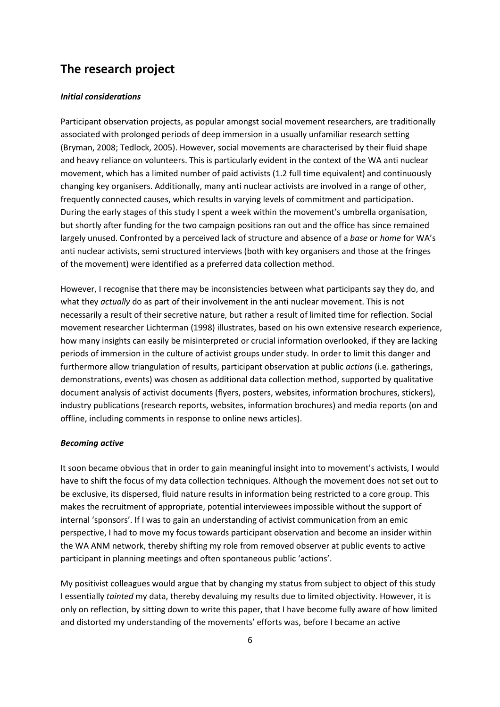# **The research project**

#### *Initial considerations*

Participant observation projects, as popular amongst social movement researchers, are traditionally associated with prolonged periods of deep immersion in a usually unfamiliar research setting (Bryman, 2008; Tedlock, 2005). However, social movements are characterised by their fluid shape and heavy reliance on volunteers. This is particularly evident in the context of the WA anti nuclear movement, which has a limited number of paid activists (1.2 full time equivalent) and continuously changing key organisers. Additionally, many anti nuclear activists are involved in a range of other, frequently connected causes, which results in varying levels of commitment and participation. During the early stages of this study I spent a week within the movement's umbrella organisation, but shortly after funding for the two campaign positions ran out and the office has since remained largely unused. Confronted by a perceived lack of structure and absence of a *base* or *home* for WA's anti nuclear activists, semi structured interviews (both with key organisers and those at the fringes of the movement) were identified as a preferred data collection method.

However, I recognise that there may be inconsistencies between what participants say they do, and what they *actually* do as part of their involvement in the anti nuclear movement. This is not necessarily a result of their secretive nature, but rather a result of limited time for reflection. Social movement researcher Lichterman (1998) illustrates, based on his own extensive research experience, how many insights can easily be misinterpreted or crucial information overlooked, if they are lacking periods of immersion in the culture of activist groups under study. In order to limit this danger and furthermore allow triangulation of results, participant observation at public *actions* (i.e. gatherings, demonstrations, events) was chosen as additional data collection method, supported by qualitative document analysis of activist documents (flyers, posters, websites, information brochures, stickers), industry publications (research reports, websites, information brochures) and media reports (on and offline, including comments in response to online news articles).

#### *Becoming active*

It soon became obvious that in order to gain meaningful insight into to movement's activists, I would have to shift the focus of my data collection techniques. Although the movement does not set out to be exclusive, its dispersed, fluid nature results in information being restricted to a core group. This makes the recruitment of appropriate, potential interviewees impossible without the support of internal 'sponsors'. If I was to gain an understanding of activist communication from an emic perspective, I had to move my focus towards participant observation and become an insider within the WA ANM network, thereby shifting my role from removed observer at public events to active participant in planning meetings and often spontaneous public 'actions'.

My positivist colleagues would argue that by changing my status from subject to object of this study I essentially *tainted* my data, thereby devaluing my results due to limited objectivity. However, it is only on reflection, by sitting down to write this paper, that I have become fully aware of how limited and distorted my understanding of the movements' efforts was, before I became an active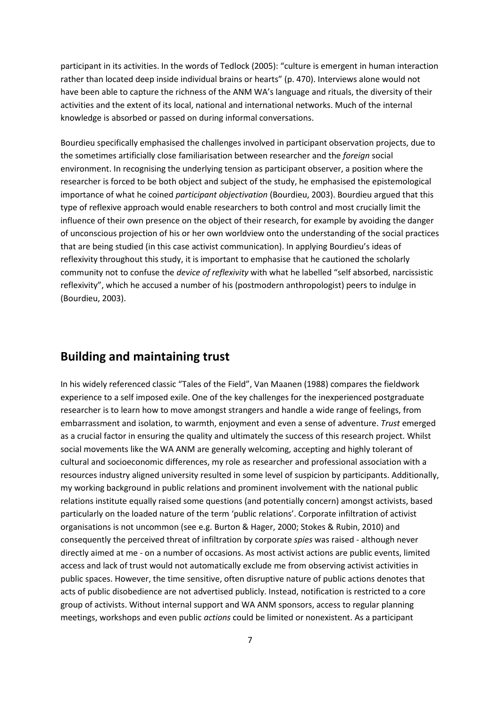participant in its activities. In the words of Tedlock (2005): "culture is emergent in human interaction rather than located deep inside individual brains or hearts" (p. 470). Interviews alone would not have been able to capture the richness of the ANM WA's language and rituals, the diversity of their activities and the extent of its local, national and international networks. Much of the internal knowledge is absorbed or passed on during informal conversations.

Bourdieu specifically emphasised the challenges involved in participant observation projects, due to the sometimes artificially close familiarisation between researcher and the *foreign* social environment. In recognising the underlying tension as participant observer, a position where the researcher is forced to be both object and subject of the study, he emphasised the epistemological importance of what he coined *participant objectivation* (Bourdieu, 2003). Bourdieu argued that this type of reflexive approach would enable researchers to both control and most crucially limit the influence of their own presence on the object of their research, for example by avoiding the danger of unconscious projection of his or her own worldview onto the understanding of the social practices that are being studied (in this case activist communication). In applying Bourdieu's ideas of reflexivity throughout this study, it is important to emphasise that he cautioned the scholarly community not to confuse the *device of reflexivity* with what he labelled "self absorbed, narcissistic reflexivity", which he accused a number of his (postmodern anthropologist) peers to indulge in (Bourdieu, 2003).

#### **Building and maintaining trust**

In his widely referenced classic "Tales of the Field", Van Maanen (1988) compares the fieldwork experience to a self imposed exile. One of the key challenges for the inexperienced postgraduate researcher is to learn how to move amongst strangers and handle a wide range of feelings, from embarrassment and isolation, to warmth, enjoyment and even a sense of adventure. *Trust* emerged as a crucial factor in ensuring the quality and ultimately the success of this research project. Whilst social movements like the WA ANM are generally welcoming, accepting and highly tolerant of cultural and socioeconomic differences, my role as researcher and professional association with a resources industry aligned university resulted in some level of suspicion by participants. Additionally, my working background in public relations and prominent involvement with the national public relations institute equally raised some questions (and potentially concern) amongst activists, based particularly on the loaded nature of the term 'public relations'. Corporate infiltration of activist organisations is not uncommon (see e.g. Burton & Hager, 2000; Stokes & Rubin, 2010) and consequently the perceived threat of infiltration by corporate *spies* was raised - although never directly aimed at me - on a number of occasions. As most activist actions are public events, limited access and lack of trust would not automatically exclude me from observing activist activities in public spaces. However, the time sensitive, often disruptive nature of public actions denotes that acts of public disobedience are not advertised publicly. Instead, notification is restricted to a core group of activists. Without internal support and WA ANM sponsors, access to regular planning meetings, workshops and even public *actions* could be limited or nonexistent. As a participant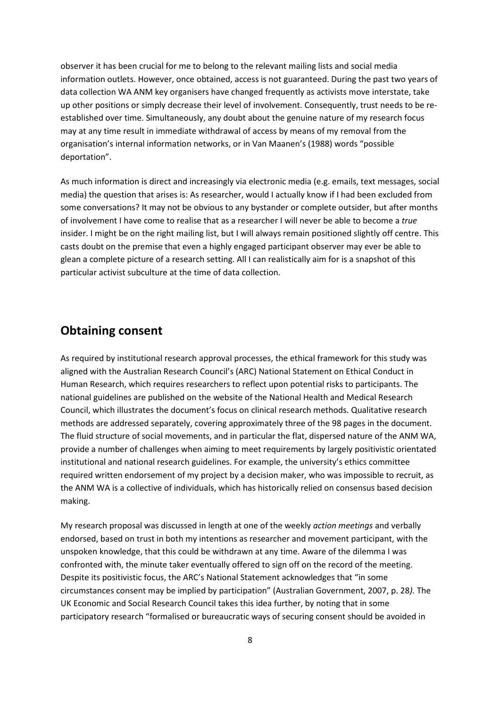observer it has been crucial for me to belong to the relevant mailing lists and social media information outlets. However, once obtained, access is not guaranteed. During the past two years of data collection WA ANM key organisers have changed frequently as activists move interstate, take up other positions or simply decrease their level of involvement. Consequently, trust needs to be reestablished over time. Simultaneously, any doubt about the genuine nature of my research focus may at any time result in immediate withdrawal of access by means of my removal from the organisation's internal information networks, or in Van Maanen's (1988) words "possible deportation".

As much information is direct and increasingly via electronic media (e.g. emails, text messages, social media) the question that arises is: As researcher, would I actually know if I had been excluded from some conversations? It may not be obvious to any bystander or complete outsider, but after months of involvement I have come to realise that as a researcher I will never be able to become a *true* insider. I might be on the right mailing list, but I will always remain positioned slightly off centre. This casts doubt on the premise that even a highly engaged participant observer may ever be able to glean a complete picture of a research setting. All I can realistically aim for is a snapshot of this particular activist subculture at the time of data collection.

#### **Obtaining consent**

As required by institutional research approval processes, the ethical framework for this study was aligned with the Australian Research Council's (ARC) National Statement on Ethical Conduct in Human Research, which requires researchers to reflect upon potential risks to participants. The national guidelines are published on the website of the National Health and Medical Research Council, which illustrates the document's focus on clinical research methods. Qualitative research methods are addressed separately, covering approximately three of the 98 pages in the document. The fluid structure of social movements, and in particular the flat, dispersed nature of the ANM WA, provide a number of challenges when aiming to meet requirements by largely positivistic orientated institutional and national research guidelines. For example, the university's ethics committee required written endorsement of my project by a decision maker, who was impossible to recruit, as the ANM WA is a collective of individuals, which has historically relied on consensus based decision making.

My research proposal was discussed in length at one of the weekly *action meetings* and verbally endorsed, based on trust in both my intentions as researcher and movement participant, with the unspoken knowledge, that this could be withdrawn at any time. Aware of the dilemma I was confronted with, the minute taker eventually offered to sign off on the record of the meeting. Despite its positivistic focus, the ARC's National Statement acknowledges that "in some circumstances consent may be implied by participation" (Australian Government, 2007, p. 28*).* The UK Economic and Social Research Council takes this idea further, by noting that in some participatory research "formalised or bureaucratic ways of securing consent should be avoided in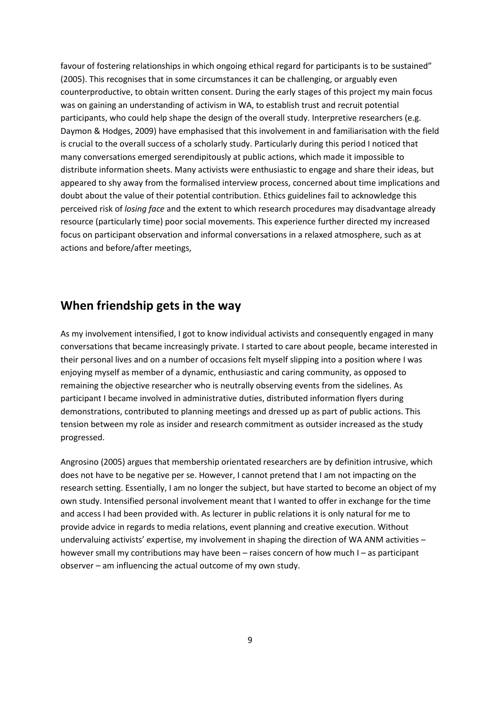favour of fostering relationships in which ongoing ethical regard for participants is to be sustained" (2005). This recognises that in some circumstances it can be challenging, or arguably even counterproductive, to obtain written consent. During the early stages of this project my main focus was on gaining an understanding of activism in WA, to establish trust and recruit potential participants, who could help shape the design of the overall study. Interpretive researchers (e.g. Daymon & Hodges, 2009) have emphasised that this involvement in and familiarisation with the field is crucial to the overall success of a scholarly study. Particularly during this period I noticed that many conversations emerged serendipitously at public actions, which made it impossible to distribute information sheets. Many activists were enthusiastic to engage and share their ideas, but appeared to shy away from the formalised interview process, concerned about time implications and doubt about the value of their potential contribution. Ethics guidelines fail to acknowledge this perceived risk of *losing face* and the extent to which research procedures may disadvantage already resource (particularly time) poor social movements. This experience further directed my increased focus on participant observation and informal conversations in a relaxed atmosphere, such as at actions and before/after meetings,

#### **When friendship gets in the way**

As my involvement intensified, I got to know individual activists and consequently engaged in many conversations that became increasingly private. I started to care about people, became interested in their personal lives and on a number of occasions felt myself slipping into a position where I was enjoying myself as member of a dynamic, enthusiastic and caring community, as opposed to remaining the objective researcher who is neutrally observing events from the sidelines. As participant I became involved in administrative duties, distributed information flyers during demonstrations, contributed to planning meetings and dressed up as part of public actions. This tension between my role as insider and research commitment as outsider increased as the study progressed.

Angrosino (2005) argues that membership orientated researchers are by definition intrusive, which does not have to be negative per se. However, I cannot pretend that I am not impacting on the research setting. Essentially, I am no longer the subject, but have started to become an object of my own study. Intensified personal involvement meant that I wanted to offer in exchange for the time and access I had been provided with. As lecturer in public relations it is only natural for me to provide advice in regards to media relations, event planning and creative execution. Without undervaluing activists' expertise, my involvement in shaping the direction of WA ANM activities – however small my contributions may have been – raises concern of how much I – as participant observer – am influencing the actual outcome of my own study.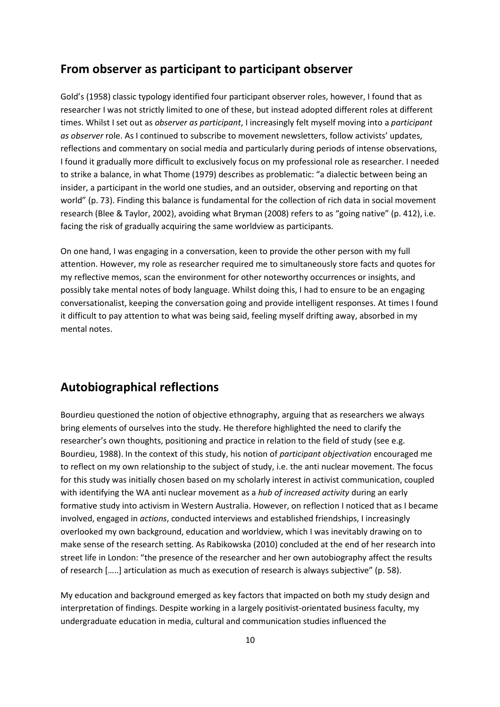#### **From observer as participant to participant observer**

Gold's (1958) classic typology identified four participant observer roles, however, I found that as researcher I was not strictly limited to one of these, but instead adopted different roles at different times. Whilst I set out as *observer as participant*, I increasingly felt myself moving into a *participant as observer* role. As I continued to subscribe to movement newsletters, follow activists' updates, reflections and commentary on social media and particularly during periods of intense observations, I found it gradually more difficult to exclusively focus on my professional role as researcher. I needed to strike a balance, in what Thome (1979) describes as problematic: "a dialectic between being an insider, a participant in the world one studies, and an outsider, observing and reporting on that world" (p. 73). Finding this balance is fundamental for the collection of rich data in social movement research (Blee & Taylor, 2002), avoiding what Bryman (2008) refers to as "going native" (p. 412), i.e. facing the risk of gradually acquiring the same worldview as participants.

On one hand, I was engaging in a conversation, keen to provide the other person with my full attention. However, my role as researcher required me to simultaneously store facts and quotes for my reflective memos, scan the environment for other noteworthy occurrences or insights, and possibly take mental notes of body language. Whilst doing this, I had to ensure to be an engaging conversationalist, keeping the conversation going and provide intelligent responses. At times I found it difficult to pay attention to what was being said, feeling myself drifting away, absorbed in my mental notes.

# **Autobiographical reflections**

Bourdieu questioned the notion of objective ethnography, arguing that as researchers we always bring elements of ourselves into the study. He therefore highlighted the need to clarify the researcher's own thoughts, positioning and practice in relation to the field of study (see e.g. Bourdieu, 1988). In the context of this study, his notion of *participant objectivation* encouraged me to reflect on my own relationship to the subject of study, i.e. the anti nuclear movement. The focus for this study was initially chosen based on my scholarly interest in activist communication, coupled with identifying the WA anti nuclear movement as a *hub of increased activity* during an early formative study into activism in Western Australia. However, on reflection I noticed that as I became involved, engaged in *actions*, conducted interviews and established friendships, I increasingly overlooked my own background, education and worldview, which I was inevitably drawing on to make sense of the research setting. As Rabikowska (2010) concluded at the end of her research into street life in London: "the presence of the researcher and her own autobiography affect the results of research […..] articulation as much as execution of research is always subjective" (p. 58).

My education and background emerged as key factors that impacted on both my study design and interpretation of findings. Despite working in a largely positivist-orientated business faculty, my undergraduate education in media, cultural and communication studies influenced the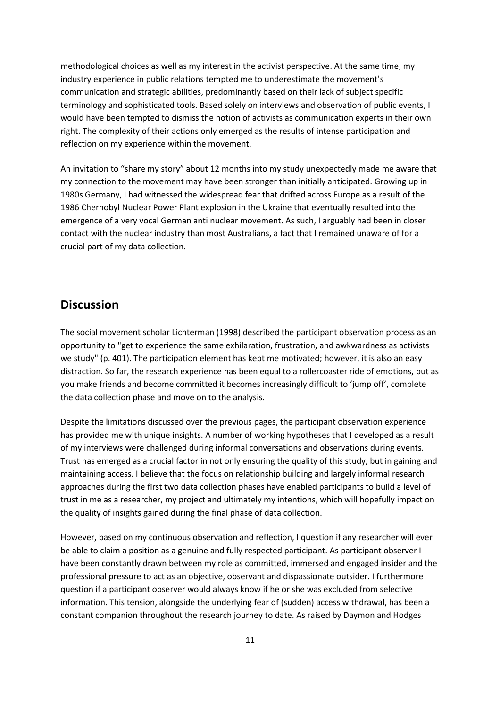methodological choices as well as my interest in the activist perspective. At the same time, my industry experience in public relations tempted me to underestimate the movement's communication and strategic abilities, predominantly based on their lack of subject specific terminology and sophisticated tools. Based solely on interviews and observation of public events, I would have been tempted to dismiss the notion of activists as communication experts in their own right. The complexity of their actions only emerged as the results of intense participation and reflection on my experience within the movement.

An invitation to "share my story" about 12 months into my study unexpectedly made me aware that my connection to the movement may have been stronger than initially anticipated. Growing up in 1980s Germany, I had witnessed the widespread fear that drifted across Europe as a result of the 1986 Chernobyl Nuclear Power Plant explosion in the Ukraine that eventually resulted into the emergence of a very vocal German anti nuclear movement. As such, I arguably had been in closer contact with the nuclear industry than most Australians, a fact that I remained unaware of for a crucial part of my data collection.

#### **Discussion**

The social movement scholar Lichterman (1998) described the participant observation process as an opportunity to "get to experience the same exhilaration, frustration, and awkwardness as activists we study" (p. 401). The participation element has kept me motivated; however, it is also an easy distraction. So far, the research experience has been equal to a rollercoaster ride of emotions, but as you make friends and become committed it becomes increasingly difficult to 'jump off', complete the data collection phase and move on to the analysis.

Despite the limitations discussed over the previous pages, the participant observation experience has provided me with unique insights. A number of working hypotheses that I developed as a result of my interviews were challenged during informal conversations and observations during events. Trust has emerged as a crucial factor in not only ensuring the quality of this study, but in gaining and maintaining access. I believe that the focus on relationship building and largely informal research approaches during the first two data collection phases have enabled participants to build a level of trust in me as a researcher, my project and ultimately my intentions, which will hopefully impact on the quality of insights gained during the final phase of data collection.

However, based on my continuous observation and reflection, I question if any researcher will ever be able to claim a position as a genuine and fully respected participant. As participant observer I have been constantly drawn between my role as committed, immersed and engaged insider and the professional pressure to act as an objective, observant and dispassionate outsider. I furthermore question if a participant observer would always know if he or she was excluded from selective information. This tension, alongside the underlying fear of (sudden) access withdrawal, has been a constant companion throughout the research journey to date. As raised by Daymon and Hodges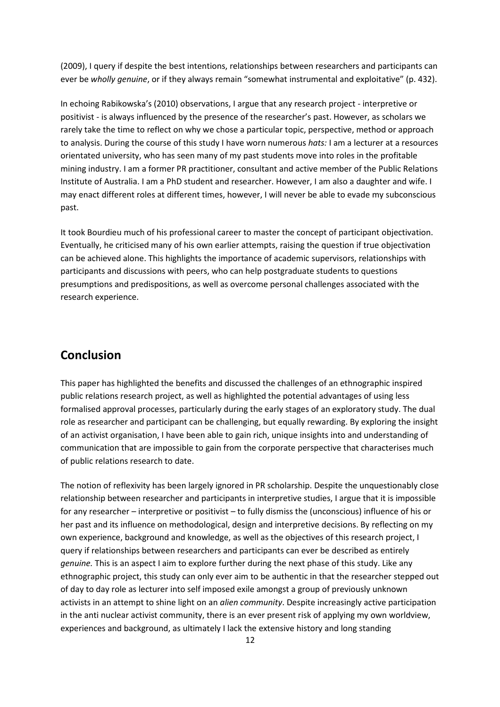(2009), I query if despite the best intentions, relationships between researchers and participants can ever be *wholly genuine*, or if they always remain "somewhat instrumental and exploitative" (p. 432).

In echoing Rabikowska's (2010) observations, I argue that any research project - interpretive or positivist - is always influenced by the presence of the researcher's past. However, as scholars we rarely take the time to reflect on why we chose a particular topic, perspective, method or approach to analysis. During the course of this study I have worn numerous *hats:* I am a lecturer at a resources orientated university, who has seen many of my past students move into roles in the profitable mining industry. I am a former PR practitioner, consultant and active member of the Public Relations Institute of Australia. I am a PhD student and researcher. However, I am also a daughter and wife. I may enact different roles at different times, however, I will never be able to evade my subconscious past.

It took Bourdieu much of his professional career to master the concept of participant objectivation. Eventually, he criticised many of his own earlier attempts, raising the question if true objectivation can be achieved alone. This highlights the importance of academic supervisors, relationships with participants and discussions with peers, who can help postgraduate students to questions presumptions and predispositions, as well as overcome personal challenges associated with the research experience.

### **Conclusion**

This paper has highlighted the benefits and discussed the challenges of an ethnographic inspired public relations research project, as well as highlighted the potential advantages of using less formalised approval processes, particularly during the early stages of an exploratory study. The dual role as researcher and participant can be challenging, but equally rewarding. By exploring the insight of an activist organisation, I have been able to gain rich, unique insights into and understanding of communication that are impossible to gain from the corporate perspective that characterises much of public relations research to date.

The notion of reflexivity has been largely ignored in PR scholarship. Despite the unquestionably close relationship between researcher and participants in interpretive studies, I argue that it is impossible for any researcher – interpretive or positivist – to fully dismiss the (unconscious) influence of his or her past and its influence on methodological, design and interpretive decisions. By reflecting on my own experience, background and knowledge, as well as the objectives of this research project, I query if relationships between researchers and participants can ever be described as entirely *genuine.* This is an aspect I aim to explore further during the next phase of this study. Like any ethnographic project, this study can only ever aim to be authentic in that the researcher stepped out of day to day role as lecturer into self imposed exile amongst a group of previously unknown activists in an attempt to shine light on an *alien community*. Despite increasingly active participation in the anti nuclear activist community, there is an ever present risk of applying my own worldview, experiences and background, as ultimately I lack the extensive history and long standing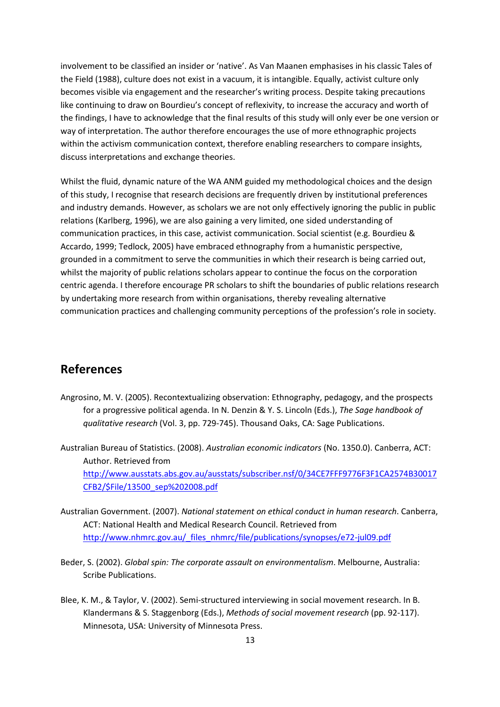involvement to be classified an insider or 'native'. As Van Maanen emphasises in his classic Tales of the Field (1988), culture does not exist in a vacuum, it is intangible. Equally, activist culture only becomes visible via engagement and the researcher's writing process. Despite taking precautions like continuing to draw on Bourdieu's concept of reflexivity, to increase the accuracy and worth of the findings, I have to acknowledge that the final results of this study will only ever be one version or way of interpretation. The author therefore encourages the use of more ethnographic projects within the activism communication context, therefore enabling researchers to compare insights, discuss interpretations and exchange theories.

Whilst the fluid, dynamic nature of the WA ANM guided my methodological choices and the design of this study, I recognise that research decisions are frequently driven by institutional preferences and industry demands. However, as scholars we are not only effectively ignoring the public in public relations (Karlberg, 1996), we are also gaining a very limited, one sided understanding of communication practices, in this case, activist communication. Social scientist (e.g. Bourdieu & Accardo, 1999; Tedlock, 2005) have embraced ethnography from a humanistic perspective, grounded in a commitment to serve the communities in which their research is being carried out, whilst the majority of public relations scholars appear to continue the focus on the corporation centric agenda. I therefore encourage PR scholars to shift the boundaries of public relations research by undertaking more research from within organisations, thereby revealing alternative communication practices and challenging community perceptions of the profession's role in society.

### **References**

Angrosino, M. V. (2005). Recontextualizing observation: Ethnography, pedagogy, and the prospects for a progressive political agenda. In N. Denzin & Y. S. Lincoln (Eds.), *The Sage handbook of qualitative research* (Vol. 3, pp. 729-745). Thousand Oaks, CA: Sage Publications.

Australian Bureau of Statistics. (2008). *Australian economic indicators* (No. 1350.0). Canberra, ACT: Author. Retrieved from http://www.ausstats.abs.gov.au/ausstats/subscriber.nsf/0/34CE7FFF9776F3F1CA2574B30017 CFB2/\$File/13500\_sep%202008.pdf

- Australian Government. (2007). *National statement on ethical conduct in human research*. Canberra, ACT: National Health and Medical Research Council. Retrieved from http://www.nhmrc.gov.au/\_files\_nhmrc/file/publications/synopses/e72-jul09.pdf
- Beder, S. (2002). *Global spin: The corporate assault on environmentalism*. Melbourne, Australia: Scribe Publications.
- Blee, K. M., & Taylor, V. (2002). Semi-structured interviewing in social movement research. In B. Klandermans & S. Staggenborg (Eds.), *Methods of social movement research* (pp. 92-117). Minnesota, USA: University of Minnesota Press.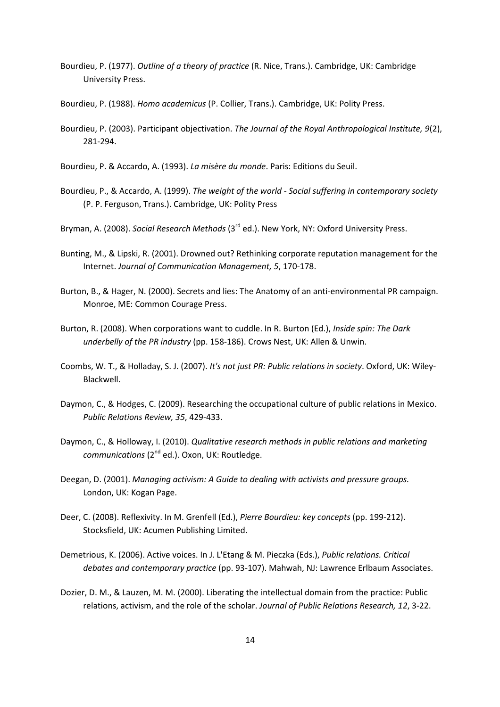- Bourdieu, P. (1977). *Outline of a theory of practice* (R. Nice, Trans.). Cambridge, UK: Cambridge University Press.
- Bourdieu, P. (1988). *Homo academicus* (P. Collier, Trans.). Cambridge, UK: Polity Press.
- Bourdieu, P. (2003). Participant objectivation. *The Journal of the Royal Anthropological Institute, 9*(2), 281-294.
- Bourdieu, P. & Accardo, A. (1993). *La misère du monde*. Paris: Editions du Seuil.
- Bourdieu, P., & Accardo, A. (1999). *The weight of the world Social suffering in contemporary society*  (P. P. Ferguson, Trans.). Cambridge, UK: Polity Press
- Bryman, A. (2008). *Social Research Methods* (3rd ed.). New York, NY: Oxford University Press.
- Bunting, M., & Lipski, R. (2001). Drowned out? Rethinking corporate reputation management for the Internet. *Journal of Communication Management, 5*, 170-178.
- Burton, B., & Hager, N. (2000). Secrets and lies: The Anatomy of an anti-environmental PR campaign. Monroe, ME: Common Courage Press.
- Burton, R. (2008). When corporations want to cuddle. In R. Burton (Ed.), *Inside spin: The Dark underbelly of the PR industry* (pp. 158-186). Crows Nest, UK: Allen & Unwin.
- Coombs, W. T., & Holladay, S. J. (2007). *It's not just PR: Public relations in society*. Oxford, UK: Wiley-Blackwell.
- Daymon, C., & Hodges, C. (2009). Researching the occupational culture of public relations in Mexico. *Public Relations Review, 35*, 429-433.
- Daymon, C., & Holloway, I. (2010). *Qualitative research methods in public relations and marketing communications* (2nd ed.). Oxon, UK: Routledge.
- Deegan, D. (2001). *Managing activism: A Guide to dealing with activists and pressure groups.*  London, UK: Kogan Page.
- Deer, C. (2008). Reflexivity. In M. Grenfell (Ed.), *Pierre Bourdieu: key concepts* (pp. 199-212). Stocksfield, UK: Acumen Publishing Limited.
- Demetrious, K. (2006). Active voices. In J. L'Etang & M. Pieczka (Eds.), *Public relations. Critical debates and contemporary practice* (pp. 93-107). Mahwah, NJ: Lawrence Erlbaum Associates.
- Dozier, D. M., & Lauzen, M. M. (2000). Liberating the intellectual domain from the practice: Public relations, activism, and the role of the scholar. *Journal of Public Relations Research, 12*, 3-22.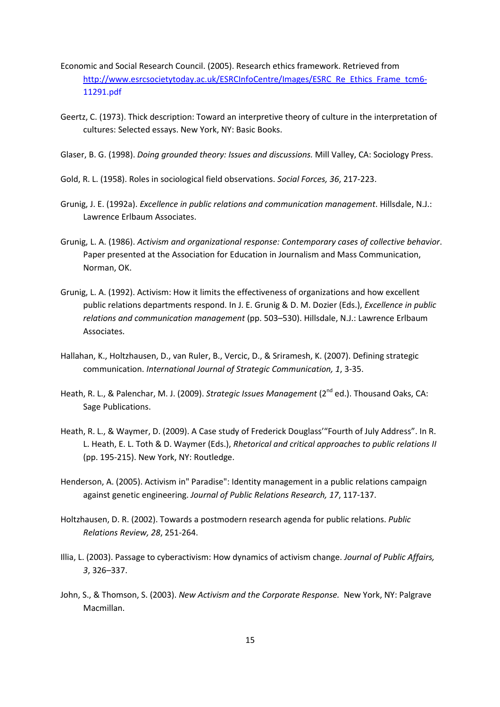- Economic and Social Research Council. (2005). Research ethics framework. Retrieved from http://www.esrcsocietytoday.ac.uk/ESRCInfoCentre/Images/ESRC\_Re\_Ethics\_Frame\_tcm6- 11291.pdf
- Geertz, C. (1973). Thick description: Toward an interpretive theory of culture in the interpretation of cultures: Selected essays. New York, NY: Basic Books.
- Glaser, B. G. (1998). *Doing grounded theory: Issues and discussions.* Mill Valley, CA: Sociology Press.
- Gold, R. L. (1958). Roles in sociological field observations. *Social Forces, 36*, 217-223.
- Grunig, J. E. (1992a). *Excellence in public relations and communication management*. Hillsdale, N.J.: Lawrence Erlbaum Associates.
- Grunig, L. A. (1986). *Activism and organizational response: Contemporary cases of collective behavior*. Paper presented at the Association for Education in Journalism and Mass Communication, Norman, OK.
- Grunig, L. A. (1992). Activism: How it limits the effectiveness of organizations and how excellent public relations departments respond. In J. E. Grunig & D. M. Dozier (Eds.), *Excellence in public relations and communication management* (pp. 503–530). Hillsdale, N.J.: Lawrence Erlbaum Associates.
- Hallahan, K., Holtzhausen, D., van Ruler, B., Vercic, D., & Sriramesh, K. (2007). Defining strategic communication. *International Journal of Strategic Communication, 1*, 3-35.
- Heath, R. L., & Palenchar, M. J. (2009). *Strategic Issues Management* (2<sup>nd</sup> ed.). Thousand Oaks, CA: Sage Publications.
- Heath, R. L., & Waymer, D. (2009). A Case study of Frederick Douglass'"Fourth of July Address". In R. L. Heath, E. L. Toth & D. Waymer (Eds.), *Rhetorical and critical approaches to public relations II*  (pp. 195-215). New York, NY: Routledge.
- Henderson, A. (2005). Activism in" Paradise": Identity management in a public relations campaign against genetic engineering. *Journal of Public Relations Research, 17*, 117-137.
- Holtzhausen, D. R. (2002). Towards a postmodern research agenda for public relations. *Public Relations Review, 28*, 251-264.
- Illia, L. (2003). Passage to cyberactivism: How dynamics of activism change. *Journal of Public Affairs, 3*, 326–337.
- John, S., & Thomson, S. (2003). *New Activism and the Corporate Response.* New York, NY: Palgrave Macmillan.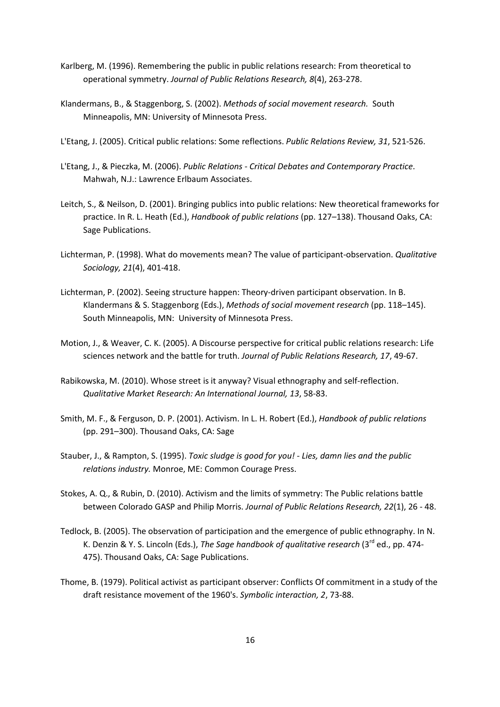- Karlberg, M. (1996). Remembering the public in public relations research: From theoretical to operational symmetry. *Journal of Public Relations Research, 8*(4), 263-278.
- Klandermans, B., & Staggenborg, S. (2002). *Methods of social movement research.* South Minneapolis, MN: University of Minnesota Press.
- L'Etang, J. (2005). Critical public relations: Some reflections. *Public Relations Review, 31*, 521-526.
- L'Etang, J., & Pieczka, M. (2006). *Public Relations Critical Debates and Contemporary Practice*. Mahwah, N.J.: Lawrence Erlbaum Associates.
- Leitch, S., & Neilson, D. (2001). Bringing publics into public relations: New theoretical frameworks for practice. In R. L. Heath (Ed.), *Handbook of public relations* (pp. 127–138). Thousand Oaks, CA: Sage Publications.
- Lichterman, P. (1998). What do movements mean? The value of participant-observation. *Qualitative Sociology, 21*(4), 401-418.
- Lichterman, P. (2002). Seeing structure happen: Theory-driven participant observation. In B. Klandermans & S. Staggenborg (Eds.), *Methods of social movement research* (pp. 118–145). South Minneapolis, MN: University of Minnesota Press.
- Motion, J., & Weaver, C. K. (2005). A Discourse perspective for critical public relations research: Life sciences network and the battle for truth. *Journal of Public Relations Research, 17*, 49-67.
- Rabikowska, M. (2010). Whose street is it anyway? Visual ethnography and self-reflection. *Qualitative Market Research: An International Journal, 13*, 58-83.
- Smith, M. F., & Ferguson, D. P. (2001). Activism. In L. H. Robert (Ed.), *Handbook of public relations*  (pp. 291–300). Thousand Oaks, CA: Sage
- Stauber, J., & Rampton, S. (1995). *Toxic sludge is good for you! Lies, damn lies and the public relations industry.* Monroe, ME: Common Courage Press.
- Stokes, A. Q., & Rubin, D. (2010). Activism and the limits of symmetry: The Public relations battle between Colorado GASP and Philip Morris. *Journal of Public Relations Research, 22*(1), 26 - 48.
- Tedlock, B. (2005). The observation of participation and the emergence of public ethnography. In N. K. Denzin & Y. S. Lincoln (Eds.), *The Sage handbook of qualitative research* (3rd ed., pp. 474- 475). Thousand Oaks, CA: Sage Publications.
- Thome, B. (1979). Political activist as participant observer: Conflicts Of commitment in a study of the draft resistance movement of the 1960's. *Symbolic interaction, 2*, 73-88.